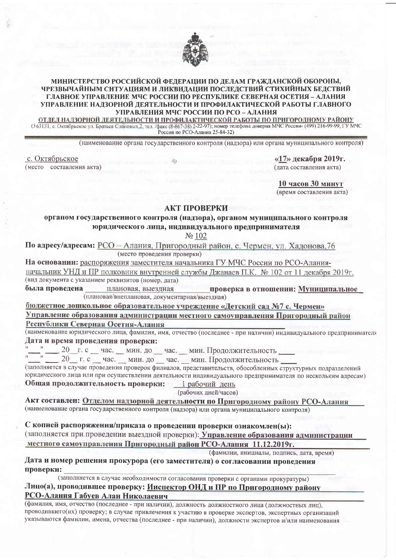

#### МИНИСТЕРСТВО РОССИЙСКОЙ ФЕДЕРАЦИИ ПО ДЕЛАМ ГРАЖДАНСКОЙ ОБОРОНЫ, ЧРЕЗВЫЧАЙНЫМ СИТУАЦИЯМ И ЛИКВИДАЦИИ ПОСЛЕДСТВИЙ СТИХИЙНЫХ БЕДСТВИЙ ГЛАВНОЕ УПРАВЛЕНИЕ МЧС РОССИИ ПО РЕСПУБЛИКЕ СЕВЕРНАЯ ОСЕТИЯ - АЛАНИЯ УПРАВЛЕНИЕ НАДЗОРНОЙ ДЕЯТЕЛЬНОСТИ И ПРОФИЛАКТИЧЕСКОЙ РАБОТЫ ГЛАВНОГО УПРАВЛЕНИЯ МЧС РОССИИ ПО РСО - АЛАНИЯ

ОТДЕЛ НАДЗОРНОЙ ДЕЯТЕЛЬНОСТИ И ПРОФИЛАКТИЧЕСКОЙ РАБОТЫ ПО ПРИГОРОДНОМУ РАЙОНУ (363131, с. Октябрьское ул. Братьев Слановых, 2, тел. /факс (8-867-38) 2-22-97); номер телефона доверия МЧС России- (499) 216-99-99, ГУ МЧС России по РСО-Алания 25-84-32)

(наименование органа государственного контроля (надзора) или органа муниципального контроля)

с. Октябрьское (место составления акта)

 $\langle 17 \rangle$  лекабря 2019г. (лата составления акта)

10 часов 30 минут

(время составления акта)

### АКТ ПРОВЕРКИ

органом государственного контроля (надзора), органом муниципального контроля юридического лица, индивидуального предпринимателя

No 102

По адресу/адресам: РСО - Алания. Пригородный район. с. Чермен. ул. Халонова. 76 (место проведения проверки)

На основании: распоряжения заместителя начальника ГУ МЧС России по РСО-Аланияначальник УНД и ПР полковник внутренней службы Джанаев П.К. № 102 от 11 декабря 2019г. (вид документа с указанием реквизитов (номер, дата)

была провелена плановая, выезлная проверка в отношении: Муниципальное (плановая/внеплановая, документарная/выездная)

бюджетное дошкольное образовательное учреждение «Детский сад №7 с. Чермен»

Управление образования администрации местного самоуправления Пригородный район

Республики Северная Осетия-Алания

(наименование юридического лица, фамилия, имя, отчество (последнее - при наличии) индивидуального предпринимателя Дата и время проведения проверки:

\_ 20\_г. с \_ час. \_ мин. до \_ час. \_ мин. Продолжительность \_\_

20 г. с час. мин. до час. мин. Продолжительность

(заполняется в случае проведения проверок филиалов, представительств, обособленных структурных подразделений юридического лица или при осуществлении деятельности индивидуального предпринимателя по нескольким адресам) Общая продолжительность проверки: 1 рабочий день

(рабочих дней/часов)

Акт составлен: Отделом надзорной деятельности по Пригородному району РСО-Алания (наименование органа государственного контроля (надзора) или органа муниципального контроля)

С копией распоряжения/приказа о проведении проверки ознакомлен(ы):

(заполняется при проведении выездной проверки): Управление образования администрации местного самоуправления Пригородный район РСО-Алания 11.12.2019г.

(фамилии, инициалы, подпись, дата, время)

Дата и номер решения прокурора (его заместителя) о согласовании проведения проверки:

(заполняется в случае необходимости согласования проверки с органами прокуратуры) Лицо(а), проводившее проверку: Инспектор ОНД и ПР по Пригородному району РСО-Алания Габуев Алан Николаевич

(фамилия, имя, отчество (последнее - при наличии), должность должностного лица (должностных лиц), проводившего(их) проверку; в случае привлечения к участию в проверке экспертов, экспертных организаций указываются фамилии, имена, отчества (последнее - при наличии), должности экспертов и/или наименования